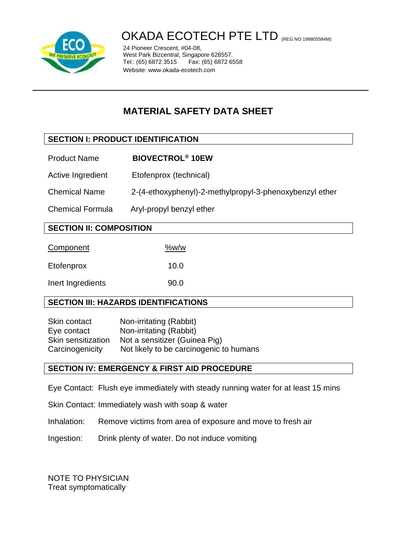

# OKADA ECOTECH PTE LTD (REG NO 199805584M)

24 Pioneer Crescent, #04-08, West Park Bizcentral, Singapore 628557.<br>Tel.: (65) 6872 3515 Fax: (65) 6872 6558 Tel.: (65) 6872 3515 Website: www.okada-ecotech.com

# **MATERIAL SAFETY DATA SHEET**

# **SECTION I: PRODUCT IDENTIFICATION**

- Product Name **BIOVECTROL® 10EW**
- Active Ingredient Etofenprox (technical)
- Chemical Name 2-(4-ethoxyphenyl)-2-methylpropyl-3-phenoxybenzyl ether
- Chemical Formula Aryl-propyl benzyl ether

# **SECTION II: COMPOSITION**

| Component         | %w/w |
|-------------------|------|
| Etofenprox        | 10.0 |
| Inert Ingredients | 90.0 |

# **SECTION III: HAZARDS IDENTIFICATIONS**

| Skin contact       | Non-irritating (Rabbit)                 |
|--------------------|-----------------------------------------|
| Eye contact        | Non-irritating (Rabbit)                 |
| Skin sensitization | Not a sensitizer (Guinea Pig)           |
| Carcinogenicity    | Not likely to be carcinogenic to humans |

#### **SECTION IV: EMERGENCY & FIRST AID PROCEDURE**

- Eye Contact: Flush eye immediately with steady running water for at least 15 mins
- Skin Contact: Immediately wash with soap & water
- Inhalation: Remove victims from area of exposure and move to fresh air
- Ingestion: Drink plenty of water. Do not induce vomiting

NOTE TO PHYSICIAN Treat symptomatically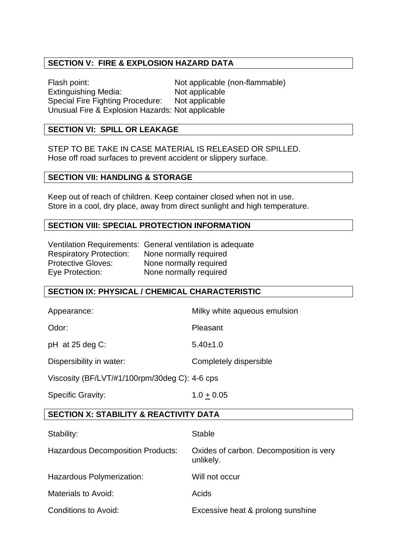### **SECTION V: FIRE & EXPLOSION HAZARD DATA**

Flash point: Not applicable (non-flammable) Extinguishing Media: Not applicable<br>Special Fire Fighting Procedure: Not applicable Special Fire Fighting Procedure: Unusual Fire & Explosion Hazards: Not applicable

# **SECTION VI: SPILL OR LEAKAGE**

STEP TO BE TAKE IN CASE MATERIAL IS RELEASED OR SPILLED. Hose off road surfaces to prevent accident or slippery surface.

#### **SECTION VII: HANDLING & STORAGE**

Keep out of reach of children. Keep container closed when not in use. Store in a cool, dry place, away from direct sunlight and high temperature.

#### **SECTION VIII: SPECIAL PROTECTION INFORMATION**

|                                | Ventilation Requirements: General ventilation is adequate |
|--------------------------------|-----------------------------------------------------------|
| <b>Respiratory Protection:</b> | None normally required                                    |
| <b>Protective Gloves:</b>      | None normally required                                    |
| Eye Protection:                | None normally required                                    |

#### **SECTION IX: PHYSICAL / CHEMICAL CHARACTERISTIC**

| Appearance:                                   | Milky white aqueous emulsion |  |
|-----------------------------------------------|------------------------------|--|
| Odor:                                         | Pleasant                     |  |
| $pH$ at 25 deg C:                             | $5.40 \pm 1.0$               |  |
| Dispersibility in water:                      | Completely dispersible       |  |
| Viscosity (BF/LVT/#1/100rpm/30deg C): 4-6 cps |                              |  |
| <b>Specific Gravity:</b>                      | $1.0 + 0.05$                 |  |

#### **SECTION X: STABILITY & REACTIVITY DATA**

| Stability:                               | <b>Stable</b>                                        |
|------------------------------------------|------------------------------------------------------|
| <b>Hazardous Decomposition Products:</b> | Oxides of carbon. Decomposition is very<br>unlikely. |
| Hazardous Polymerization:                | Will not occur                                       |
| <b>Materials to Avoid:</b>               | Acids                                                |
| <b>Conditions to Avoid:</b>              | Excessive heat & prolong sunshine                    |